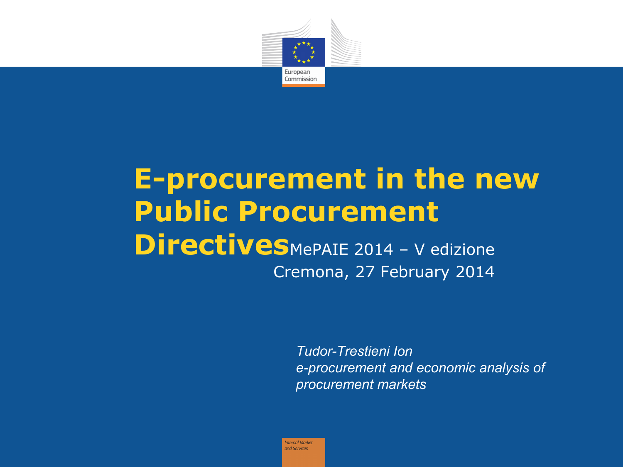

#### **E-procurement in the new Public Procurement Directives**MePAIE 2014 - V edizione Cremona, 27 February 2014

*Tudor-Trestieni Ion e-procurement and economic analysis of procurement markets*

Intemal Market and Services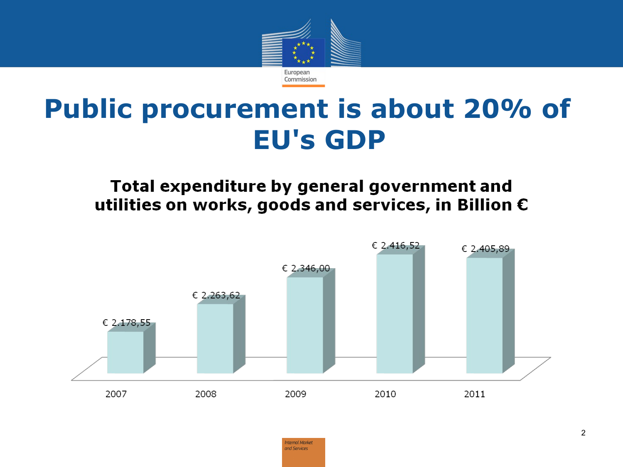

## **Public procurement is about 20% of EU's GDP**

#### Total expenditure by general government and utilities on works, goods and services, in Billion  $\epsilon$



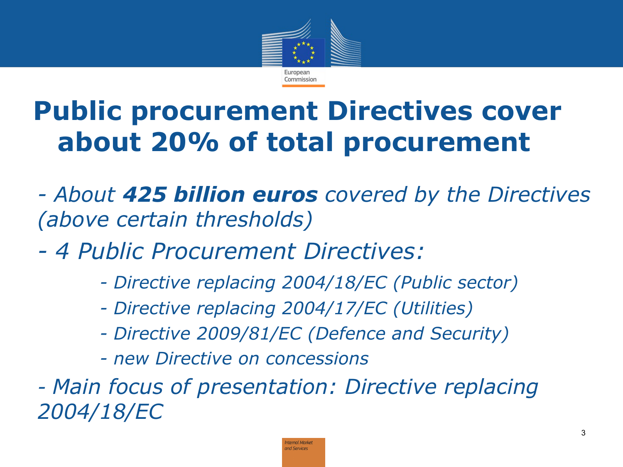

## **Public procurement Directives cover about 20% of total procurement**

*- About 425 billion euros covered by the Directives (above certain thresholds)*

- *4 Public Procurement Directives:*
	- *Directive replacing 2004/18/EC (Public sector)*
	- *Directive replacing 2004/17/EC (Utilities)*
	- *Directive 2009/81/EC (Defence and Security)*
	- *new Directive on concessions*

*- Main focus of presentation: Directive replacing 2004/18/EC*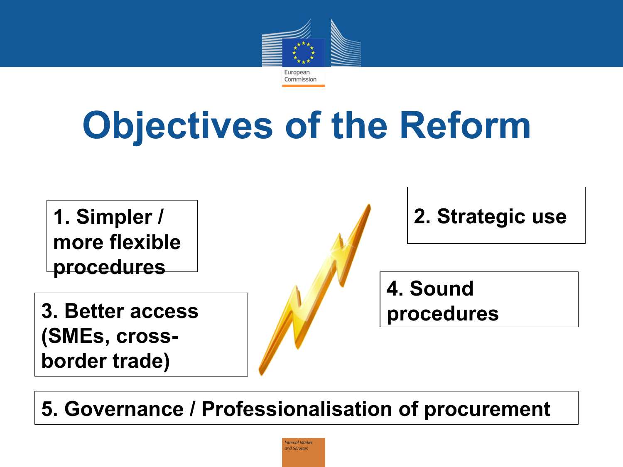

# **Objectives of the Reform**

**1. Simpler / more flexible procedures 2. Strategic use 3. Better access (SMEs, crossborder trade) 4. Sound procedures**

**5. Governance / Professionalisation of procurement**

ntemal Marke and Services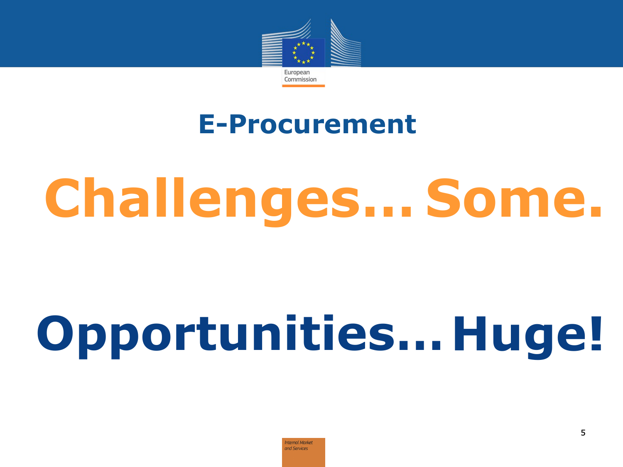

#### **E-Procurement**

# **Challenges… Some.**

# **Opportunities… Huge!**

ntemal Marke and Services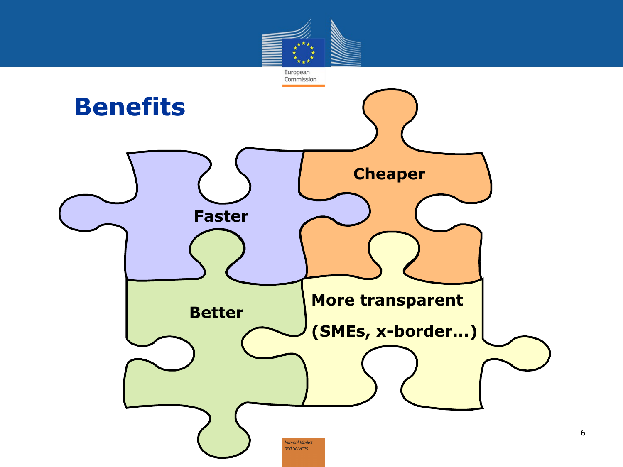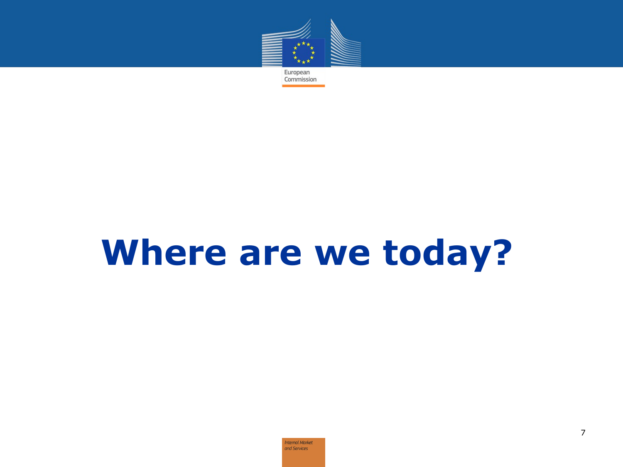

## **Where are we today?**

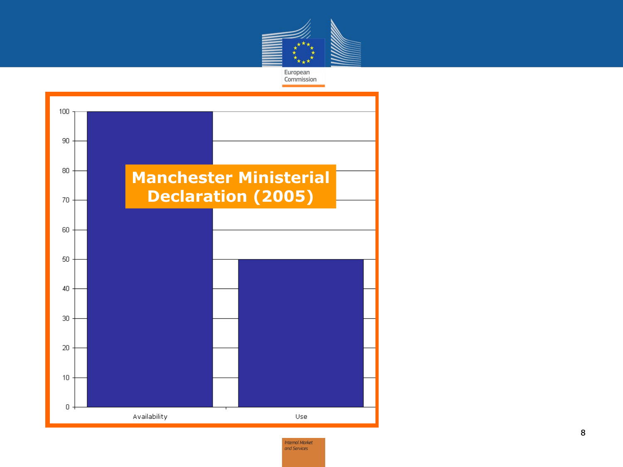

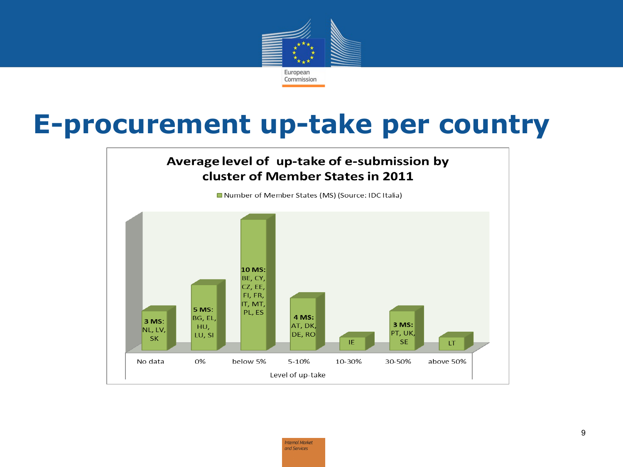

#### **E-procurement up-take per country**

#### Average level of up-take of e-submission by cluster of Member States in 2011

Number of Member States (MS) (Source: IDC Italia)

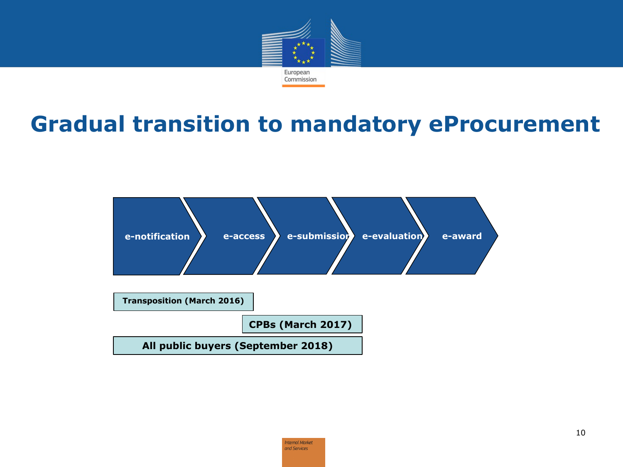

#### **Gradual transition to mandatory eProcurement**



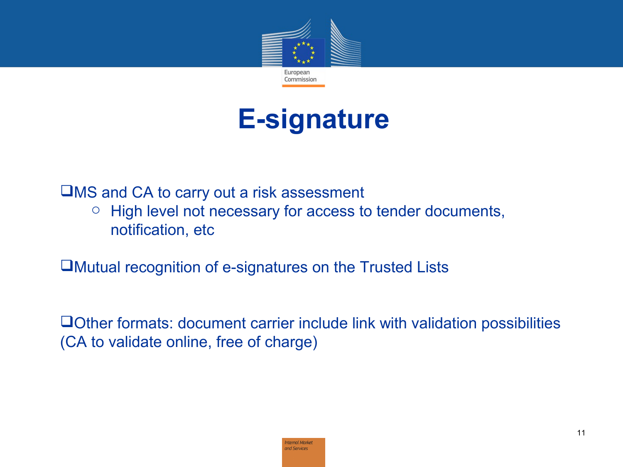

#### **E-signature**

MS and CA to carry out a risk assessment

o High level not necessary for access to tender documents, notification, etc

Mutual recognition of e-signatures on the Trusted Lists

Other formats: document carrier include link with validation possibilities (CA to validate online, free of charge)

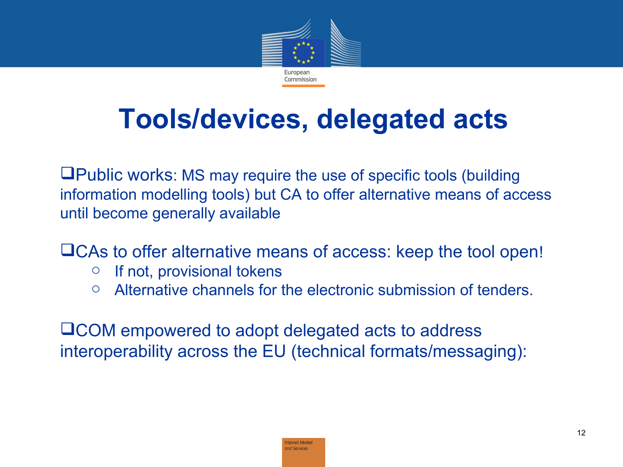

## **Tools/devices, delegated acts**

Public works: MS may require the use of specific tools (building information modelling tools) but CA to offer alternative means of access until become generally available

CAs to offer alternative means of access: keep the tool open!

- $\circ$  If not, provisional tokens
- o Alternative channels for the electronic submission of tenders.

COM empowered to adopt delegated acts to address interoperability across the EU (technical formats/messaging):

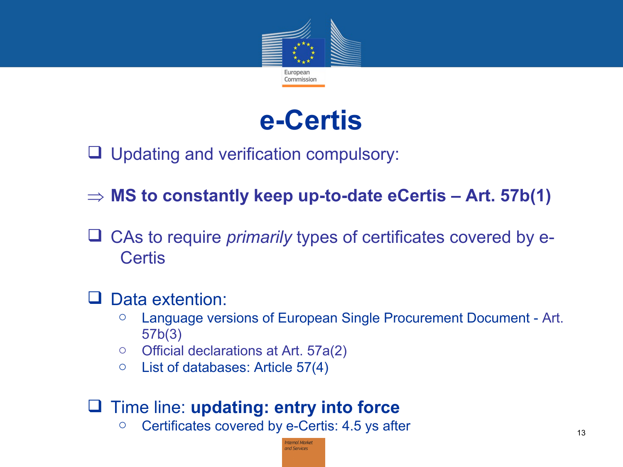

#### **e-Certis**

- □ Updating and verification compulsory:
- **MS to constantly keep up-to-date eCertis Art. 57b(1)**
- CAs to require *primarily* types of certificates covered by e- **Certis**

#### **U** Data extention:

- o Language versions of European Single Procurement Document Art. 57b(3)
- o Official declarations at Art. 57a(2)
- $\circ$  List of databases: Article 57(4)

#### Time line: **updating: entry into force**

o Certificates covered by e-Certis: 4.5 ys after

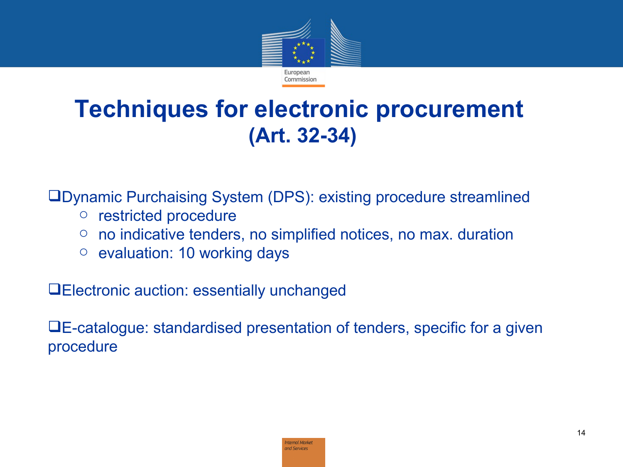

#### **Techniques for electronic procurement (Art. 32-34)**

Dynamic Purchaising System (DPS): existing procedure streamlined

- o restricted procedure
- $\circ$  no indicative tenders, no simplified notices, no max. duration
- o evaluation: 10 working days

Electronic auction: essentially unchanged

E-catalogue: standardised presentation of tenders, specific for a given procedure

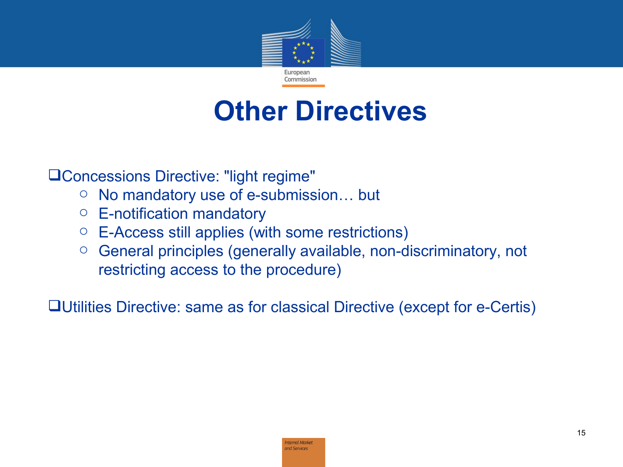

### **Other Directives**

Concessions Directive: "light regime"

- o No mandatory use of e-submission… but
- $\circ$  E-notification mandatory
- o E-Access still applies (with some restrictions)
- o General principles (generally available, non-discriminatory, not restricting access to the procedure)

Utilities Directive: same as for classical Directive (except for e-Certis)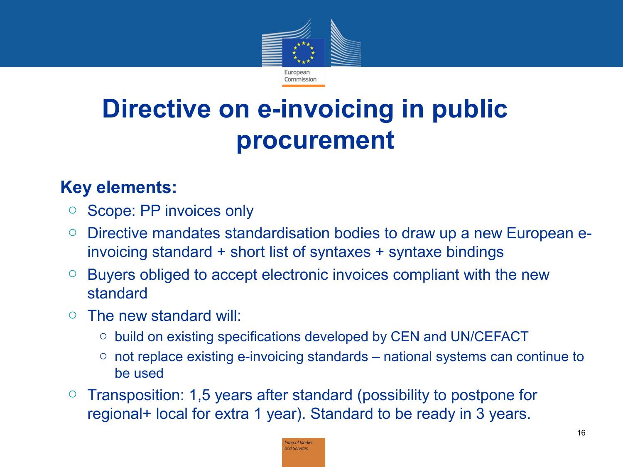

### **Directive on e-invoicing in public procurement**

#### • **Key elements:**

- o Scope: PP invoices only
- o Directive mandates standardisation bodies to draw up a new European einvoicing standard + short list of syntaxes + syntaxe bindings
- $\circ$  Buyers obliged to accept electronic invoices compliant with the new standard
- o The new standard will:
	- o build on existing specifications developed by CEN and UN/CEFACT
	- $\circ$  not replace existing e-invoicing standards national systems can continue to be used
- o Transposition: 1,5 years after standard (possibility to postpone for regional+ local for extra 1 year). Standard to be ready in 3 years.